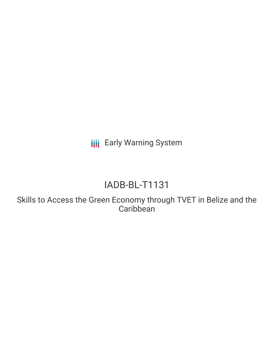**III** Early Warning System

# IADB-BL-T1131

Skills to Access the Green Economy through TVET in Belize and the **Caribbean**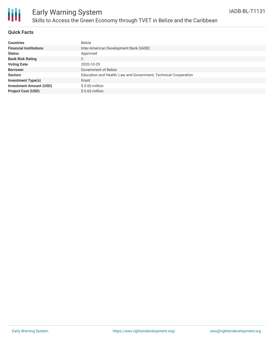

## Early Warning System Skills to Access the Green Economy through TVET in Belize and the Caribbean

#### **Quick Facts**

| <b>Countries</b>               | <b>Belize</b>                                                   |
|--------------------------------|-----------------------------------------------------------------|
| <b>Financial Institutions</b>  | Inter-American Development Bank (IADB)                          |
| <b>Status</b>                  | Approved                                                        |
| <b>Bank Risk Rating</b>        | C                                                               |
| <b>Voting Date</b>             | 2020-10-29                                                      |
| <b>Borrower</b>                | Government of Belize                                            |
| <b>Sectors</b>                 | Education and Health, Law and Government, Technical Cooperation |
| <b>Investment Type(s)</b>      | Grant                                                           |
| <b>Investment Amount (USD)</b> | $$0.60$ million                                                 |
| <b>Project Cost (USD)</b>      | $$0.63$ million                                                 |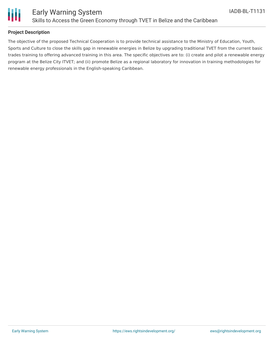

#### **Project Description**

The objective of the proposed Technical Cooperation is to provide technical assistance to the Ministry of Education, Youth, Sports and Culture to close the skills gap in renewable energies in Belize by upgrading traditional TVET from the current basic trades training to offering advanced training in this area. The specific objectives are to: (i) create and pilot a renewable energy program at the Belize City ITVET; and (ii) promote Belize as a regional laboratory for innovation in training methodologies for renewable energy professionals in the English-speaking Caribbean.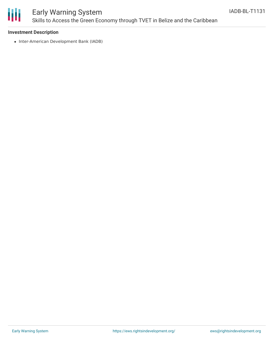

### Early Warning System Skills to Access the Green Economy through TVET in Belize and the Caribbean

#### **Investment Description**

• Inter-American Development Bank (IADB)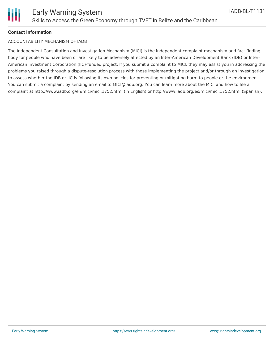

#### **Contact Information**

#### ACCOUNTABILITY MECHANISM OF IADB

The Independent Consultation and Investigation Mechanism (MICI) is the independent complaint mechanism and fact-finding body for people who have been or are likely to be adversely affected by an Inter-American Development Bank (IDB) or Inter-American Investment Corporation (IIC)-funded project. If you submit a complaint to MICI, they may assist you in addressing the problems you raised through a dispute-resolution process with those implementing the project and/or through an investigation to assess whether the IDB or IIC is following its own policies for preventing or mitigating harm to people or the environment. You can submit a complaint by sending an email to MICI@iadb.org. You can learn more about the MICI and how to file a complaint at http://www.iadb.org/en/mici/mici,1752.html (in English) or http://www.iadb.org/es/mici/mici,1752.html (Spanish).